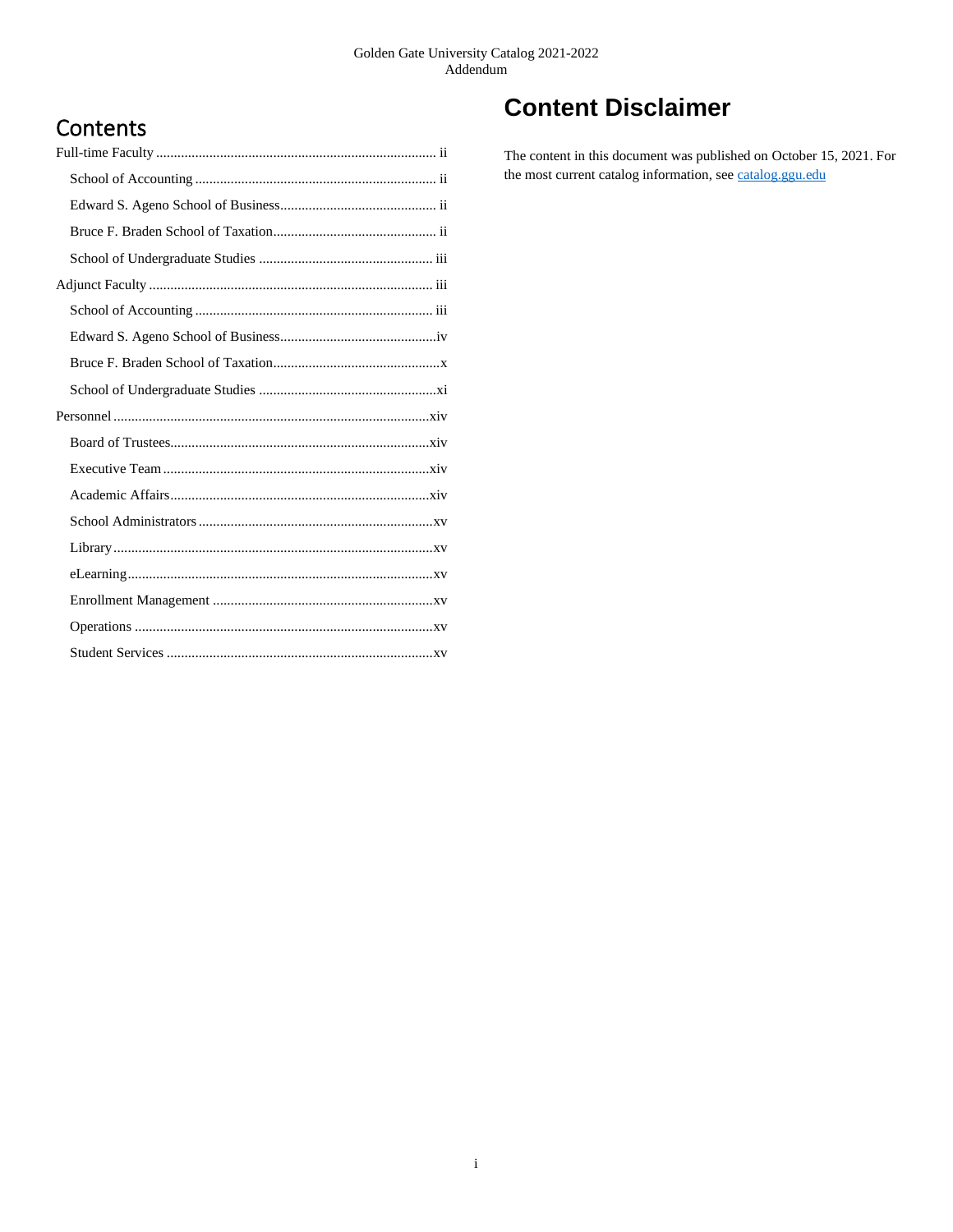# **Contents**

# **Content Disclaimer**

The content in this document was published on October 15, 2021. For the most current catalog information, se[e catalog.ggu.edu](https://catalog.ggu.edu/)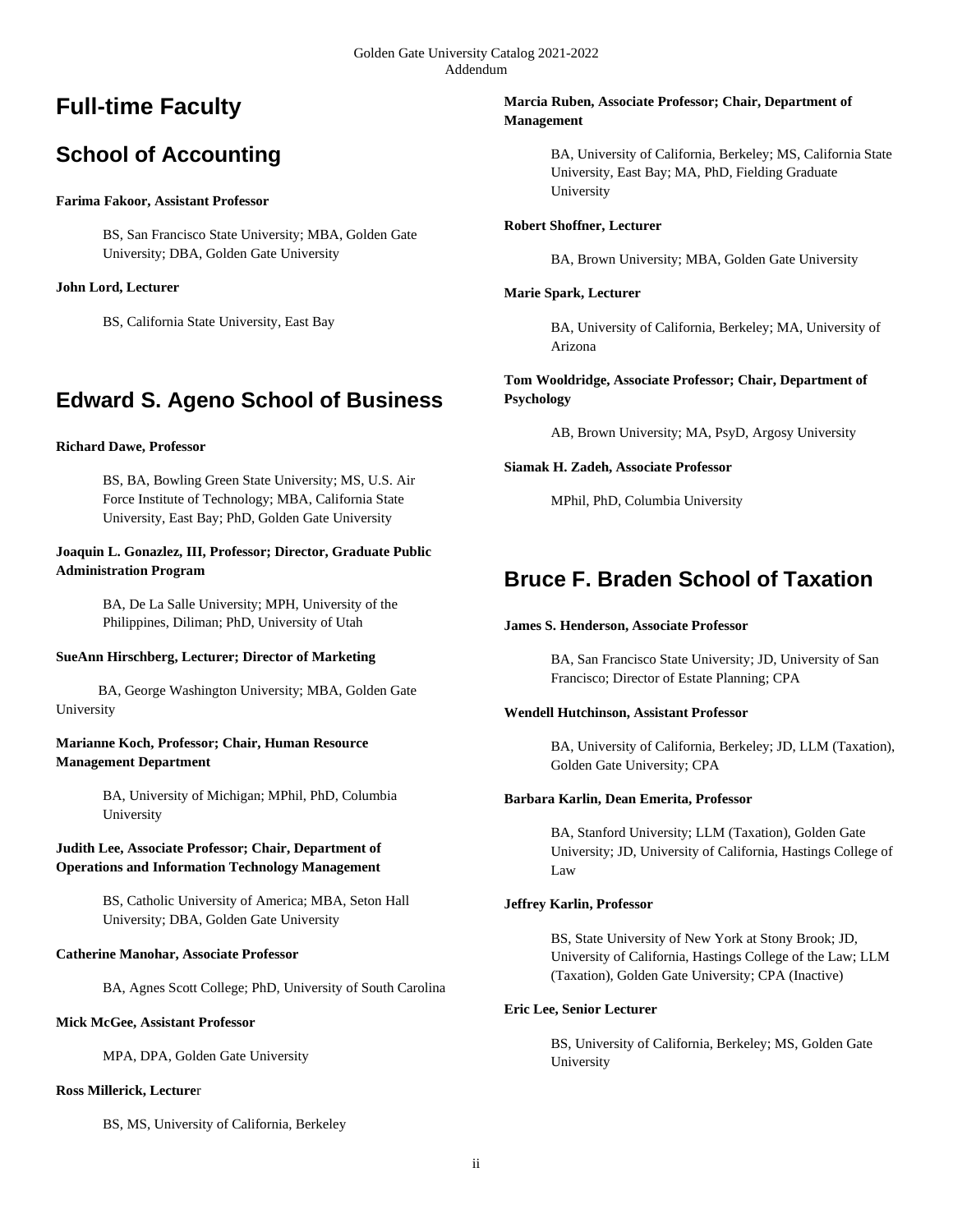# **Full-time Faculty**

# **School of Accounting**

# **Farima Fakoor, Assistant Professor**

BS, San Francisco State University; MBA, Golden Gate University; DBA, Golden Gate University

# **John Lord, Lecturer**

BS, California State University, East Bay

# **Edward S. Ageno School of Business**

# **Richard Dawe, Professor**

BS, BA, Bowling Green State University; MS, U.S. Air Force Institute of Technology; MBA, California State University, East Bay; PhD, Golden Gate University

# **Joaquin L. Gonazlez, III, Professor; Director, Graduate Public Administration Program**

BA, De La Salle University; MPH, University of the Philippines, Diliman; PhD, University of Utah

# **SueAnn Hirschberg, Lecturer; Director of Marketing**

 BA, George Washington University; MBA, Golden Gate University

# **Marianne Koch, Professor; Chair, Human Resource Management Department**

BA, University of Michigan; MPhil, PhD, Columbia University

# **Judith Lee, Associate Professor; Chair, Department of Operations and Information Technology Management**

BS, Catholic University of America; MBA, Seton Hall University; DBA, Golden Gate University

# **Catherine Manohar, Associate Professor**

BA, Agnes Scott College; PhD, University of South Carolina

# **Mick McGee, Assistant Professor**

MPA, DPA, Golden Gate University

# **Ross Millerick, Lecture**r

BS, MS, University of California, Berkeley

# **Marcia Ruben, Associate Professor; Chair, Department of Management**

BA, University of California, Berkeley; MS, California State University, East Bay; MA, PhD, Fielding Graduate University

# **Robert Shoffner, Lecturer**

BA, Brown University; MBA, Golden Gate University

# **Marie Spark, Lecturer**

BA, University of California, Berkeley; MA, University of Arizona

# **Tom Wooldridge, Associate Professor; Chair, Department of Psychology**

AB, Brown University; MA, PsyD, Argosy University

# **Siamak H. Zadeh, Associate Professor**

MPhil, PhD, Columbia University

# **Bruce F. Braden School of Taxation**

# **James S. Henderson, Associate Professor**

BA, San Francisco State University; JD, University of San Francisco; Director of Estate Planning; CPA

# **Wendell Hutchinson, Assistant Professor**

BA, University of California, Berkeley; JD, LLM (Taxation), Golden Gate University; CPA

# **Barbara Karlin, Dean Emerita, Professor**

BA, Stanford University; LLM (Taxation), Golden Gate University; JD, University of California, Hastings College of Law

# **Jeffrey Karlin, Professor**

BS, State University of New York at Stony Brook; JD, University of California, Hastings College of the Law; LLM (Taxation), Golden Gate University; CPA (Inactive)

# **Eric Lee, Senior Lecturer**

BS, University of California, Berkeley; MS, Golden Gate University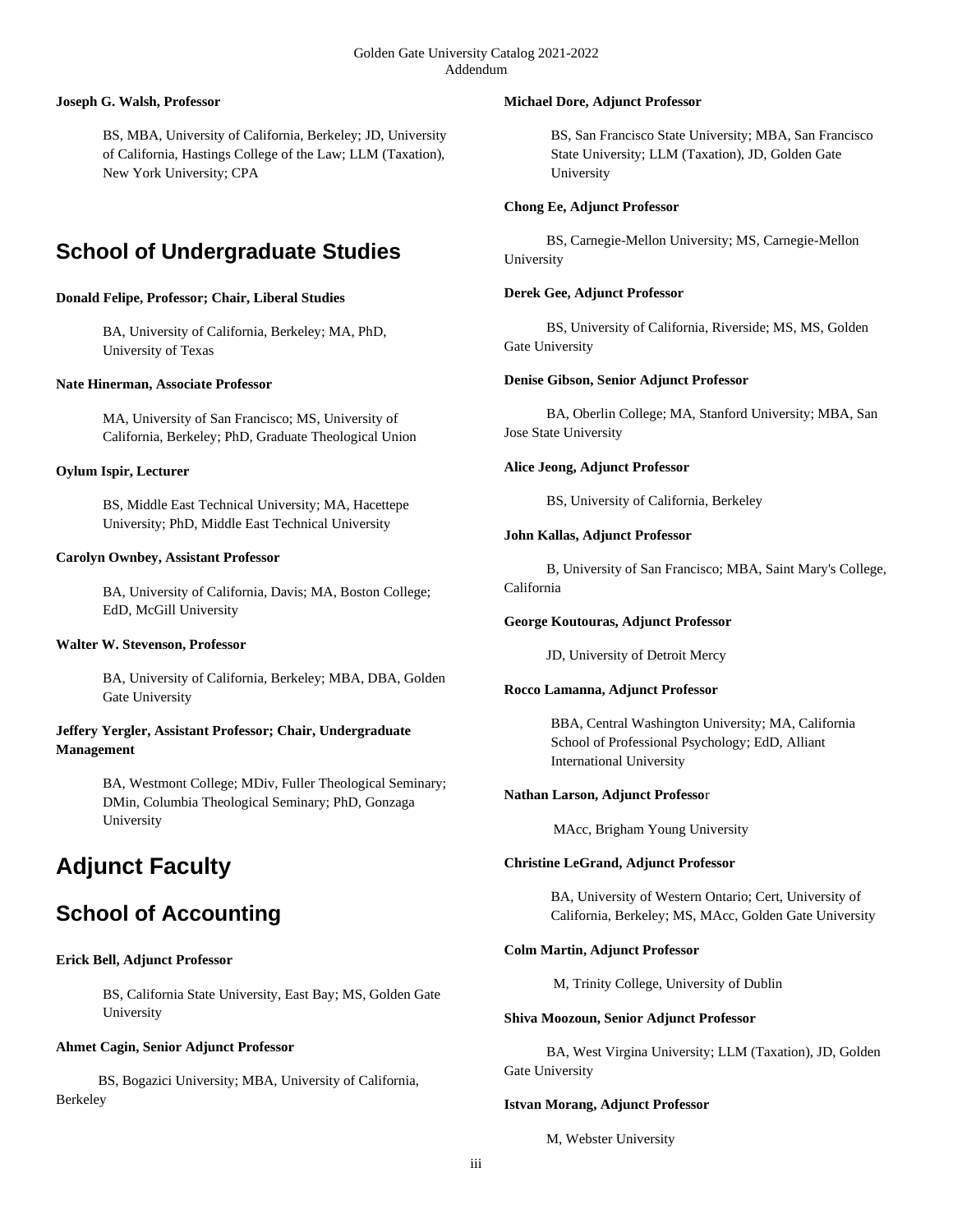#### Golden Gate University Catalog 2021-2022 Addendum

## **Joseph G. Walsh, Professor**

BS, MBA, University of California, Berkeley; JD, University of California, Hastings College of the Law; LLM (Taxation), New York University; CPA

# **School of Undergraduate Studies**

# **Donald Felipe, Professor; Chair, Liberal Studies**

BA, University of California, Berkeley; MA, PhD, University of Texas

#### **Nate Hinerman, Associate Professor**

MA, University of San Francisco; MS, University of California, Berkeley; PhD, Graduate Theological Union

#### **Oylum Ispir, Lecturer**

BS, Middle East Technical University; MA, Hacettepe University; PhD, Middle East Technical University

#### **Carolyn Ownbey, Assistant Professor**

BA, University of California, Davis; MA, Boston College; EdD, McGill University

#### **Walter W. Stevenson, Professor**

BA, University of California, Berkeley; MBA, DBA, Golden Gate University

# **Jeffery Yergler, Assistant Professor; Chair, Undergraduate Management**

BA, Westmont College; MDiv, Fuller Theological Seminary; DMin, Columbia Theological Seminary; PhD, Gonzaga University

# **Adjunct Faculty**

# **School of Accounting**

#### **Erick Bell, Adjunct Professor**

BS, California State University, East Bay; MS, Golden Gate University

#### **Ahmet Cagin, Senior Adjunct Professor**

 BS, Bogazici University; MBA, University of California, Berkeley

#### **Michael Dore, Adjunct Professor**

BS, San Francisco State University; MBA, San Francisco State University; LLM (Taxation), JD, Golden Gate University

## **Chong Ee, Adjunct Professor**

 BS, Carnegie-Mellon University; MS, Carnegie-Mellon University

#### **Derek Gee, Adjunct Professor**

 BS, University of California, Riverside; MS, MS, Golden Gate University

#### **Denise Gibson, Senior Adjunct Professor**

 BA, Oberlin College; MA, Stanford University; MBA, San Jose State University

#### **Alice Jeong, Adjunct Professor**

BS, University of California, Berkeley

#### **John Kallas, Adjunct Professor**

 B, University of San Francisco; MBA, Saint Mary's College, California

#### **George Koutouras, Adjunct Professor**

JD, University of Detroit Mercy

#### **Rocco Lamanna, Adjunct Professor**

BBA, Central Washington University; MA, California School of Professional Psychology; EdD, Alliant International University

#### **Nathan Larson, Adjunct Professo**r

MAcc, Brigham Young University

#### **Christine LeGrand, Adjunct Professor**

BA, University of Western Ontario; Cert, University of California, Berkeley; MS, MAcc, Golden Gate University

## **Colm Martin, Adjunct Professor**

M, Trinity College, University of Dublin

#### **Shiva Moozoun, Senior Adjunct Professor**

 BA, West Virgina University; LLM (Taxation), JD, Golden Gate University

#### **Istvan Morang, Adjunct Professor**

M, Webster University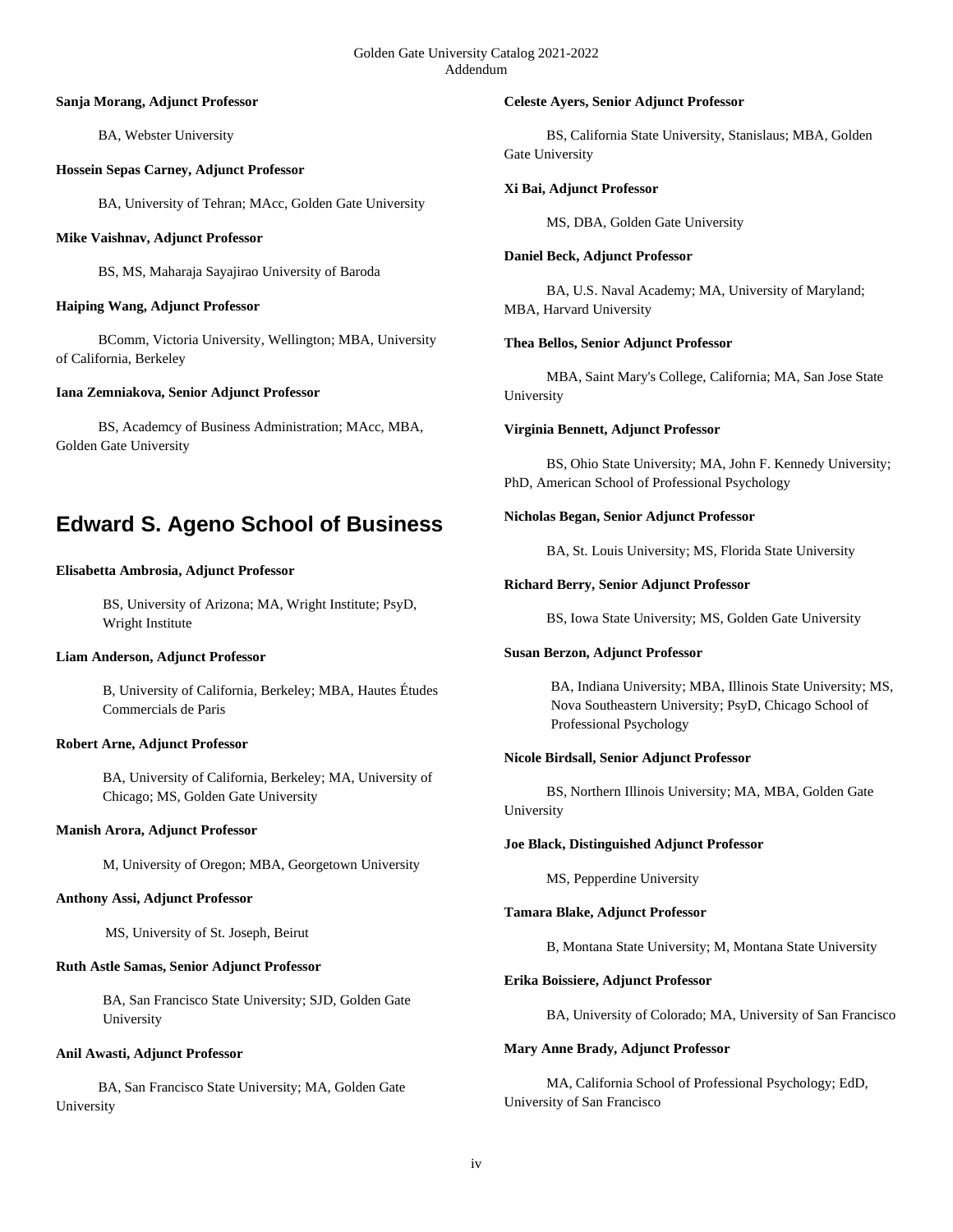#### **Sanja Morang, Adjunct Professor**

BA, Webster University

## **Hossein Sepas Carney, Adjunct Professor**

BA, University of Tehran; MAcc, Golden Gate University

## **Mike Vaishnav, Adjunct Professor**

BS, MS, Maharaja Sayajirao University of Baroda

# **Haiping Wang, Adjunct Professor**

 BComm, Victoria University, Wellington; MBA, University of California, Berkeley

## **Iana Zemniakova, Senior Adjunct Professor**

 BS, Academcy of Business Administration; MAcc, MBA, Golden Gate University

# **Edward S. Ageno School of Business**

## **Elisabetta Ambrosia, Adjunct Professor**

BS, University of Arizona; MA, Wright Institute; PsyD, Wright Institute

# **Liam Anderson, Adjunct Professor**

B, University of California, Berkeley; MBA, Hautes Études Commercials de Paris

## **Robert Arne, Adjunct Professor**

BA, University of California, Berkeley; MA, University of Chicago; MS, Golden Gate University

#### **Manish Arora, Adjunct Professor**

M, University of Oregon; MBA, Georgetown University

#### **Anthony Assi, Adjunct Professor**

MS, University of St. Joseph, Beirut

#### **Ruth Astle Samas, Senior Adjunct Professor**

BA, San Francisco State University; SJD, Golden Gate University

#### **Anil Awasti, Adjunct Professor**

 BA, San Francisco State University; MA, Golden Gate University

#### **Celeste Ayers, Senior Adjunct Professor**

 BS, California State University, Stanislaus; MBA, Golden Gate University

## **Xi Bai, Adjunct Professor**

MS, DBA, Golden Gate University

## **Daniel Beck, Adjunct Professor**

 BA, U.S. Naval Academy; MA, University of Maryland; MBA, Harvard University

## **Thea Bellos, Senior Adjunct Professor**

 MBA, Saint Mary's College, California; MA, San Jose State University

## **Virginia Bennett, Adjunct Professor**

 BS, Ohio State University; MA, John F. Kennedy University; PhD, American School of Professional Psychology

## **Nicholas Began, Senior Adjunct Professor**

BA, St. Louis University; MS, Florida State University

## **Richard Berry, Senior Adjunct Professor**

BS, Iowa State University; MS, Golden Gate University

#### **Susan Berzon, Adjunct Professor**

BA, Indiana University; MBA, Illinois State University; MS, Nova Southeastern University; PsyD, Chicago School of Professional Psychology

## **Nicole Birdsall, Senior Adjunct Professor**

 BS, Northern Illinois University; MA, MBA, Golden Gate University

#### **Joe Black, Distinguished Adjunct Professor**

MS, Pepperdine University

#### **Tamara Blake, Adjunct Professor**

B, Montana State University; M, Montana State University

#### **Erika Boissiere, Adjunct Professor**

BA, University of Colorado; MA, University of San Francisco

#### **Mary Anne Brady, Adjunct Professor**

 MA, California School of Professional Psychology; EdD, University of San Francisco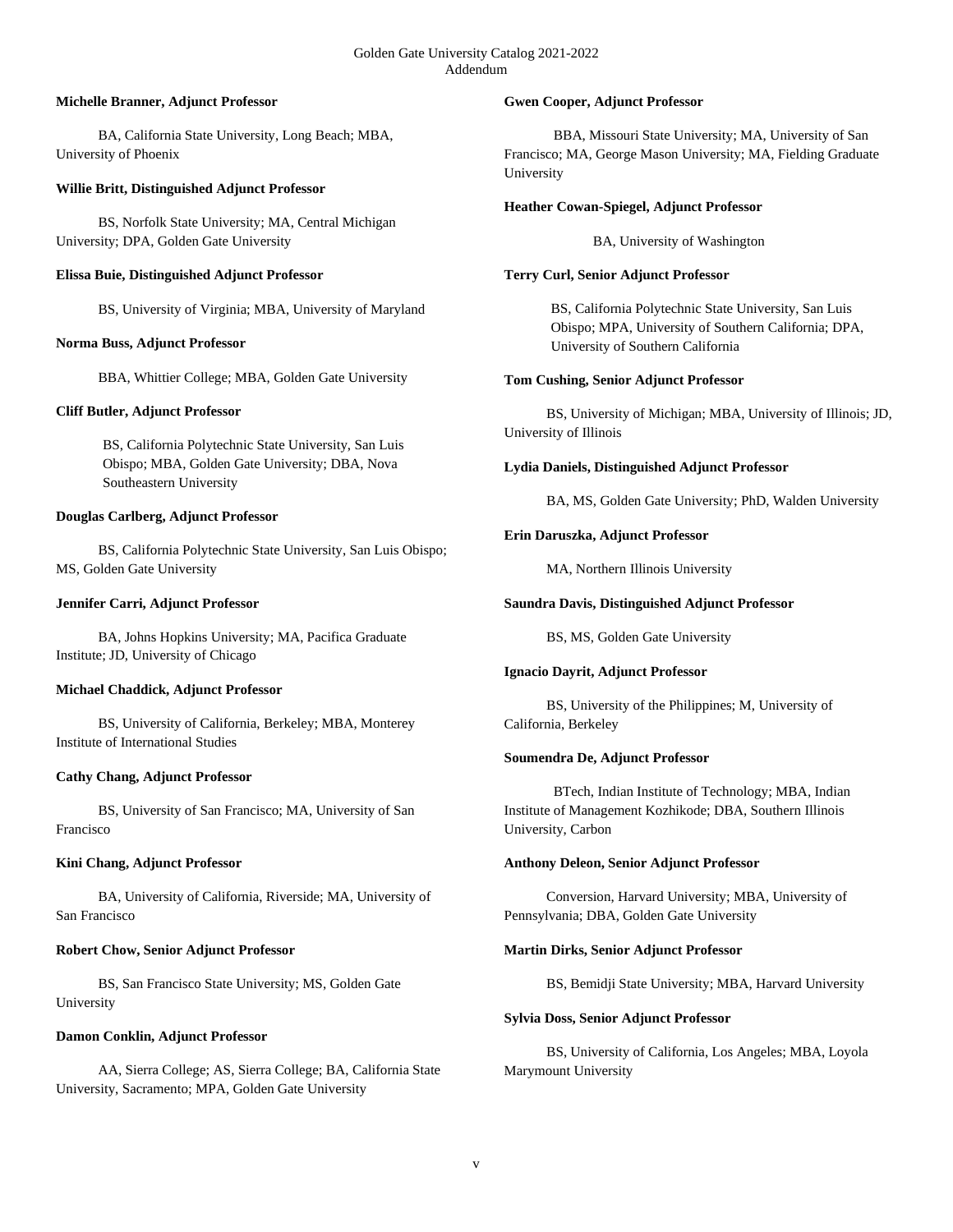## **Michelle Branner, Adjunct Professor**

 BA, California State University, Long Beach; MBA, University of Phoenix

## **Willie Britt, Distinguished Adjunct Professor**

 BS, Norfolk State University; MA, Central Michigan University; DPA, Golden Gate University

## **Elissa Buie, Distinguished Adjunct Professor**

BS, University of Virginia; MBA, University of Maryland

# **Norma Buss, Adjunct Professor**

BBA, Whittier College; MBA, Golden Gate University

## **Cliff Butler, Adjunct Professor**

BS, California Polytechnic State University, San Luis Obispo; MBA, Golden Gate University; DBA, Nova Southeastern University

## **Douglas Carlberg, Adjunct Professor**

 BS, California Polytechnic State University, San Luis Obispo; MS, Golden Gate University

## **Jennifer Carri, Adjunct Professor**

 BA, Johns Hopkins University; MA, Pacifica Graduate Institute; JD, University of Chicago

#### **Michael Chaddick, Adjunct Professor**

 BS, University of California, Berkeley; MBA, Monterey Institute of International Studies

# **Cathy Chang, Adjunct Professor**

 BS, University of San Francisco; MA, University of San Francisco

#### **Kini Chang, Adjunct Professor**

 BA, University of California, Riverside; MA, University of San Francisco

## **Robert Chow, Senior Adjunct Professor**

 BS, San Francisco State University; MS, Golden Gate University

#### **Damon Conklin, Adjunct Professor**

 AA, Sierra College; AS, Sierra College; BA, California State University, Sacramento; MPA, Golden Gate University

## **Gwen Cooper, Adjunct Professor**

 BBA, Missouri State University; MA, University of San Francisco; MA, George Mason University; MA, Fielding Graduate University

## **Heather Cowan-Spiegel, Adjunct Professor**

BA, University of Washington

# **Terry Curl, Senior Adjunct Professor**

BS, California Polytechnic State University, San Luis Obispo; MPA, University of Southern California; DPA, University of Southern California

## **Tom Cushing, Senior Adjunct Professor**

 BS, University of Michigan; MBA, University of Illinois; JD, University of Illinois

## **Lydia Daniels, Distinguished Adjunct Professor**

BA, MS, Golden Gate University; PhD, Walden University

# **Erin Daruszka, Adjunct Professor**

MA, Northern Illinois University

## **Saundra Davis, Distinguished Adjunct Professor**

BS, MS, Golden Gate University

#### **Ignacio Dayrit, Adjunct Professor**

 BS, University of the Philippines; M, University of California, Berkeley

#### **Soumendra De, Adjunct Professor**

 BTech, Indian Institute of Technology; MBA, Indian Institute of Management Kozhikode; DBA, Southern Illinois University, Carbon

#### **Anthony Deleon, Senior Adjunct Professor**

 Conversion, Harvard University; MBA, University of Pennsylvania; DBA, Golden Gate University

## **Martin Dirks, Senior Adjunct Professor**

BS, Bemidji State University; MBA, Harvard University

#### **Sylvia Doss, Senior Adjunct Professor**

 BS, University of California, Los Angeles; MBA, Loyola Marymount University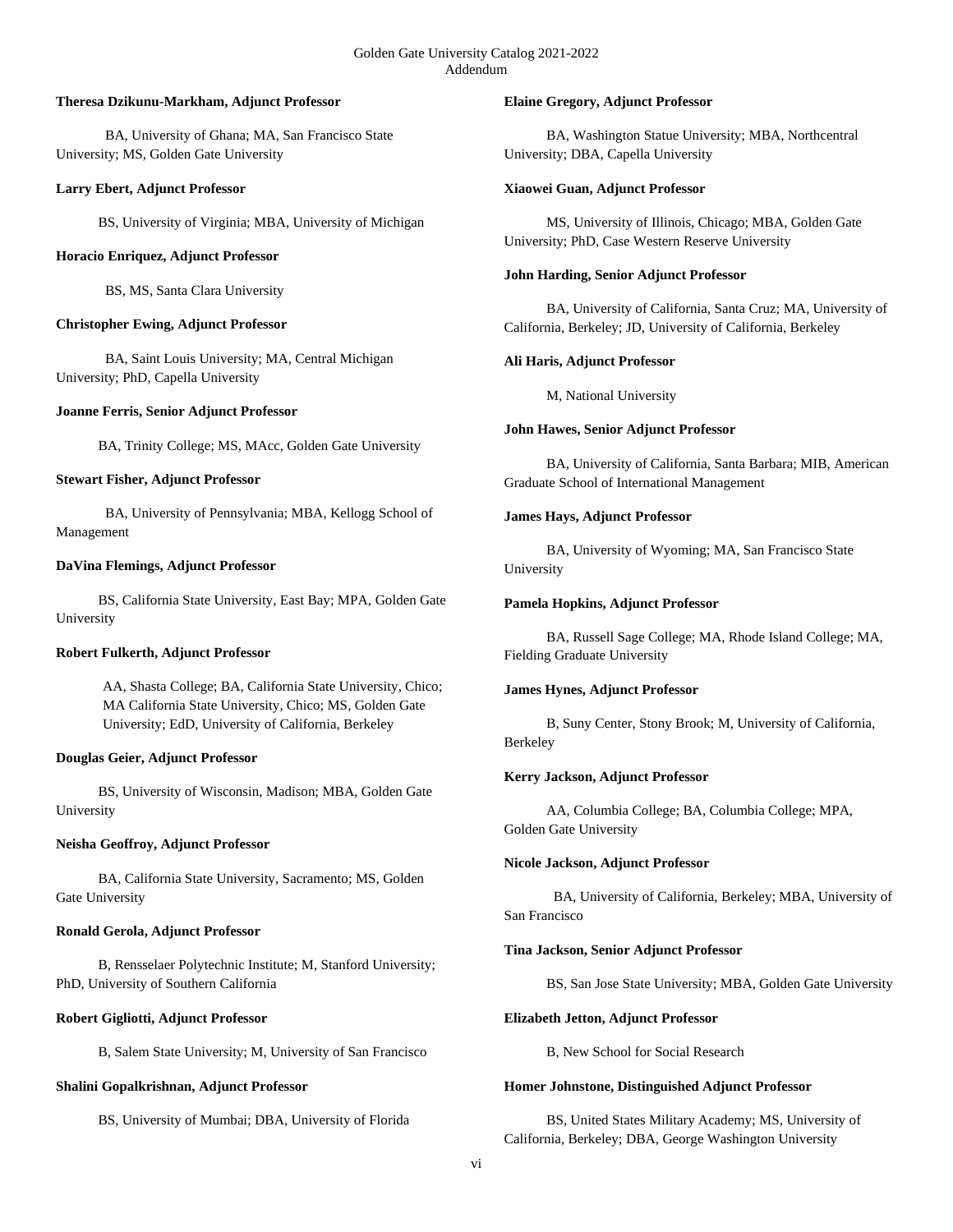#### **Theresa Dzikunu-Markham, Adjunct Professor**

 BA, University of Ghana; MA, San Francisco State University; MS, Golden Gate University

## **Larry Ebert, Adjunct Professor**

BS, University of Virginia; MBA, University of Michigan

## **Horacio Enriquez, Adjunct Professor**

BS, MS, Santa Clara University

# **Christopher Ewing, Adjunct Professor**

 BA, Saint Louis University; MA, Central Michigan University; PhD, Capella University

## **Joanne Ferris, Senior Adjunct Professor**

BA, Trinity College; MS, MAcc, Golden Gate University

## **Stewart Fisher, Adjunct Professor**

 BA, University of Pennsylvania; MBA, Kellogg School of Management

## **DaVina Flemings, Adjunct Professor**

 BS, California State University, East Bay; MPA, Golden Gate University

# **Robert Fulkerth, Adjunct Professor**

AA, Shasta College; BA, California State University, Chico; MA California State University, Chico; MS, Golden Gate University; EdD, University of California, Berkeley

# **Douglas Geier, Adjunct Professor**

 BS, University of Wisconsin, Madison; MBA, Golden Gate University

# **Neisha Geoffroy, Adjunct Professor**

 BA, California State University, Sacramento; MS, Golden Gate University

# **Ronald Gerola, Adjunct Professor**

 B, Rensselaer Polytechnic Institute; M, Stanford University; PhD, University of Southern California

# **Robert Gigliotti, Adjunct Professor**

B, Salem State University; M, University of San Francisco

#### **Shalini Gopalkrishnan, Adjunct Professor**

BS, University of Mumbai; DBA, University of Florida

## **Elaine Gregory, Adjunct Professor**

 BA, Washington Statue University; MBA, Northcentral University; DBA, Capella University

## **Xiaowei Guan, Adjunct Professor**

 MS, University of Illinois, Chicago; MBA, Golden Gate University; PhD, Case Western Reserve University

# **John Harding, Senior Adjunct Professor**

 BA, University of California, Santa Cruz; MA, University of California, Berkeley; JD, University of California, Berkeley

## **Ali Haris, Adjunct Professor**

M, National University

## **John Hawes, Senior Adjunct Professor**

 BA, University of California, Santa Barbara; MIB, American Graduate School of International Management

## **James Hays, Adjunct Professor**

 BA, University of Wyoming; MA, San Francisco State University

## **Pamela Hopkins, Adjunct Professor**

 BA, Russell Sage College; MA, Rhode Island College; MA, Fielding Graduate University

#### **James Hynes, Adjunct Professor**

 B, Suny Center, Stony Brook; M, University of California, Berkeley

# **Kerry Jackson, Adjunct Professor**

 AA, Columbia College; BA, Columbia College; MPA, Golden Gate University

#### **Nicole Jackson, Adjunct Professor**

 BA, University of California, Berkeley; MBA, University of San Francisco

## **Tina Jackson, Senior Adjunct Professor**

BS, San Jose State University; MBA, Golden Gate University

#### **Elizabeth Jetton, Adjunct Professor**

B, New School for Social Research

## **Homer Johnstone, Distinguished Adjunct Professor**

 BS, United States Military Academy; MS, University of California, Berkeley; DBA, George Washington University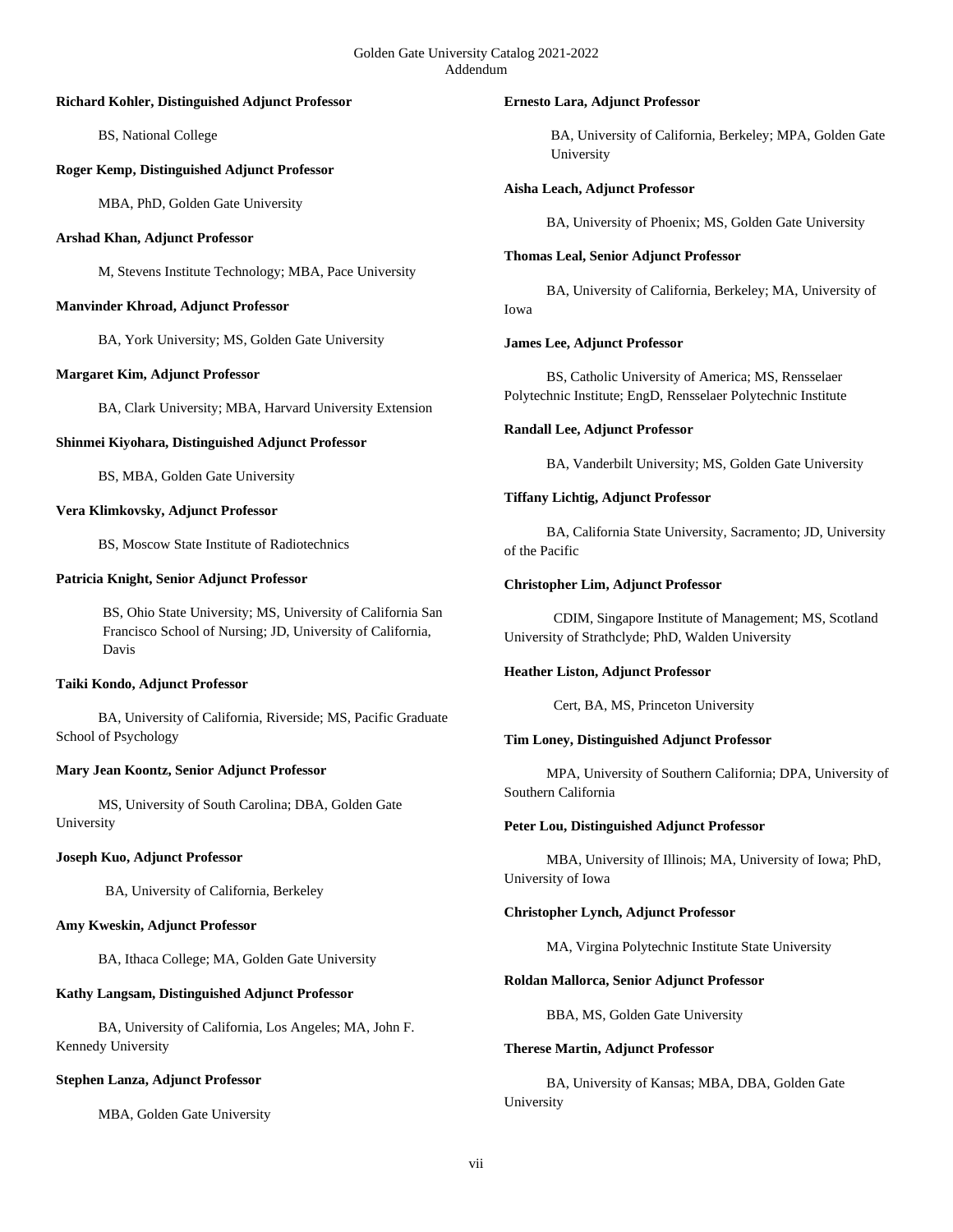#### **Richard Kohler, Distinguished Adjunct Professor**

BS, National College

## **Roger Kemp, Distinguished Adjunct Professor**

MBA, PhD, Golden Gate University

## **Arshad Khan, Adjunct Professor**

M, Stevens Institute Technology; MBA, Pace University

## **Manvinder Khroad, Adjunct Professor**

BA, York University; MS, Golden Gate University

# **Margaret Kim, Adjunct Professor**

BA, Clark University; MBA, Harvard University Extension

## **Shinmei Kiyohara, Distinguished Adjunct Professor**

BS, MBA, Golden Gate University

# **Vera Klimkovsky, Adjunct Professor**

BS, Moscow State Institute of Radiotechnics

## **Patricia Knight, Senior Adjunct Professor**

BS, Ohio State University; MS, University of California San Francisco School of Nursing; JD, University of California, Davis

# **Taiki Kondo, Adjunct Professor**

 BA, University of California, Riverside; MS, Pacific Graduate School of Psychology

# **Mary Jean Koontz, Senior Adjunct Professor**

 MS, University of South Carolina; DBA, Golden Gate University

#### **Joseph Kuo, Adjunct Professor**

BA, University of California, Berkeley

## **Amy Kweskin, Adjunct Professor**

BA, Ithaca College; MA, Golden Gate University

# **Kathy Langsam, Distinguished Adjunct Professor**

 BA, University of California, Los Angeles; MA, John F. Kennedy University

# **Stephen Lanza, Adjunct Professor**

MBA, Golden Gate University

#### **Ernesto Lara, Adjunct Professor**

BA, University of California, Berkeley; MPA, Golden Gate University

## **Aisha Leach, Adjunct Professor**

BA, University of Phoenix; MS, Golden Gate University

#### **Thomas Leal, Senior Adjunct Professor**

 BA, University of California, Berkeley; MA, University of Iowa

## **James Lee, Adjunct Professor**

 BS, Catholic University of America; MS, Rensselaer Polytechnic Institute; EngD, Rensselaer Polytechnic Institute

## **Randall Lee, Adjunct Professor**

BA, Vanderbilt University; MS, Golden Gate University

## **Tiffany Lichtig, Adjunct Professor**

 BA, California State University, Sacramento; JD, University of the Pacific

## **Christopher Lim, Adjunct Professor**

 CDIM, Singapore Institute of Management; MS, Scotland University of Strathclyde; PhD, Walden University

# **Heather Liston, Adjunct Professor**

Cert, BA, MS, Princeton University

# **Tim Loney, Distinguished Adjunct Professor**

 MPA, University of Southern California; DPA, University of Southern California

#### **Peter Lou, Distinguished Adjunct Professor**

 MBA, University of Illinois; MA, University of Iowa; PhD, University of Iowa

#### **Christopher Lynch, Adjunct Professor**

MA, Virgina Polytechnic Institute State University

#### **Roldan Mallorca, Senior Adjunct Professor**

BBA, MS, Golden Gate University

#### **Therese Martin, Adjunct Professor**

 BA, University of Kansas; MBA, DBA, Golden Gate University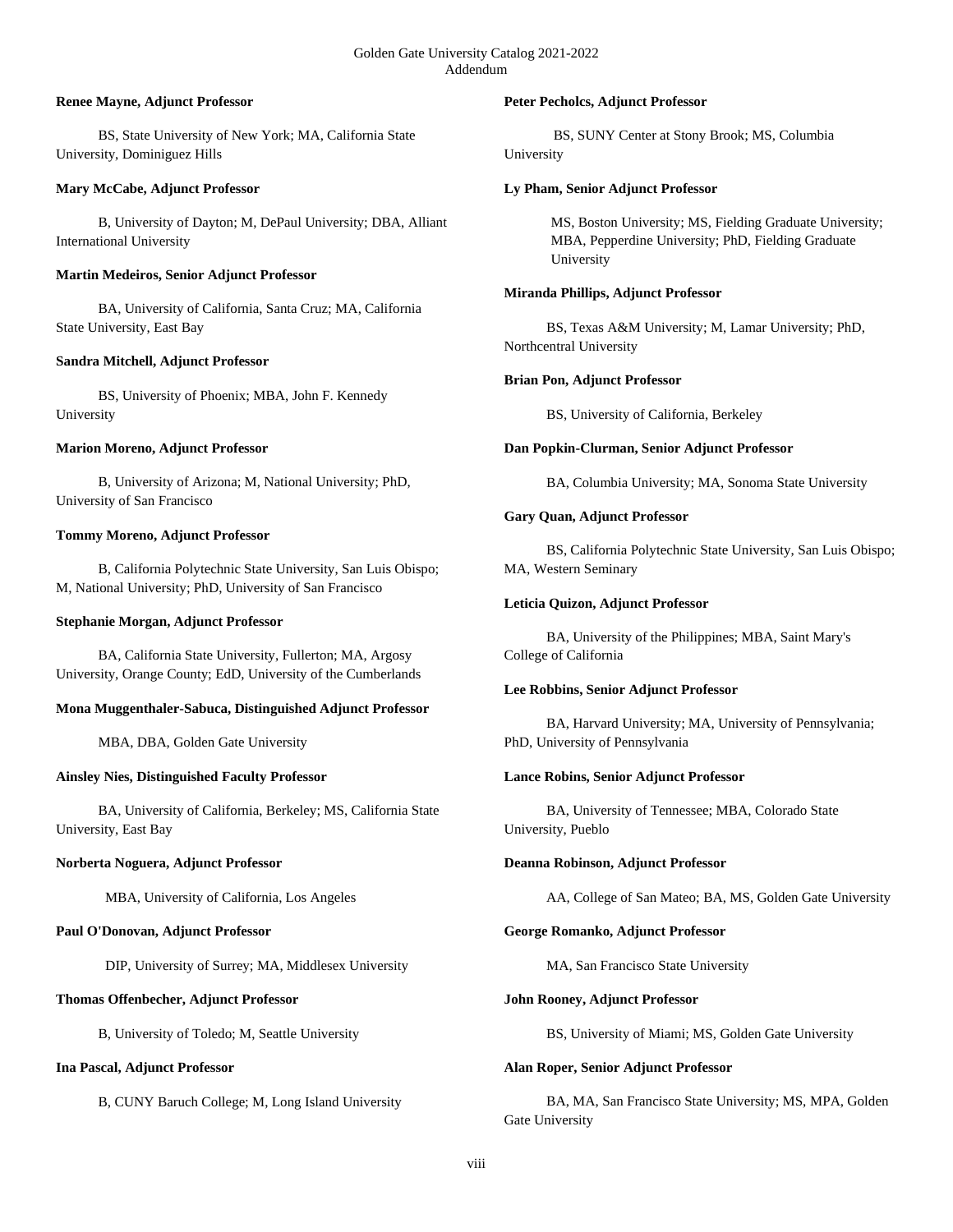## **Renee Mayne, Adjunct Professor**

 BS, State University of New York; MA, California State University, Dominiguez Hills

#### **Mary McCabe, Adjunct Professor**

 B, University of Dayton; M, DePaul University; DBA, Alliant International University

## **Martin Medeiros, Senior Adjunct Professor**

 BA, University of California, Santa Cruz; MA, California State University, East Bay

# **Sandra Mitchell, Adjunct Professor**

 BS, University of Phoenix; MBA, John F. Kennedy University

## **Marion Moreno, Adjunct Professor**

 B, University of Arizona; M, National University; PhD, University of San Francisco

## **Tommy Moreno, Adjunct Professor**

 B, California Polytechnic State University, San Luis Obispo; M, National University; PhD, University of San Francisco

#### **Stephanie Morgan, Adjunct Professor**

 BA, California State University, Fullerton; MA, Argosy University, Orange County; EdD, University of the Cumberlands

# **Mona Muggenthaler-Sabuca, Distinguished Adjunct Professor**

MBA, DBA, Golden Gate University

# **Ainsley Nies, Distinguished Faculty Professor**

 BA, University of California, Berkeley; MS, California State University, East Bay

#### **Norberta Noguera, Adjunct Professor**

MBA, University of California, Los Angeles

#### **Paul O'Donovan, Adjunct Professor**

DIP, University of Surrey; MA, Middlesex University

# **Thomas Offenbecher, Adjunct Professor**

B, University of Toledo; M, Seattle University

# **Ina Pascal, Adjunct Professor**

B, CUNY Baruch College; M, Long Island University

## **Peter Pecholcs, Adjunct Professor**

 BS, SUNY Center at Stony Brook; MS, Columbia University

## **Ly Pham, Senior Adjunct Professor**

MS, Boston University; MS, Fielding Graduate University; MBA, Pepperdine University; PhD, Fielding Graduate University

#### **Miranda Phillips, Adjunct Professor**

 BS, Texas A&M University; M, Lamar University; PhD, Northcentral University

## **Brian Pon, Adjunct Professor**

BS, University of California, Berkeley

## **Dan Popkin-Clurman, Senior Adjunct Professor**

BA, Columbia University; MA, Sonoma State University

## **Gary Quan, Adjunct Professor**

 BS, California Polytechnic State University, San Luis Obispo; MA, Western Seminary

## **Leticia Quizon, Adjunct Professor**

 BA, University of the Philippines; MBA, Saint Mary's College of California

#### **Lee Robbins, Senior Adjunct Professor**

 BA, Harvard University; MA, University of Pennsylvania; PhD, University of Pennsylvania

#### **Lance Robins, Senior Adjunct Professor**

 BA, University of Tennessee; MBA, Colorado State University, Pueblo

#### **Deanna Robinson, Adjunct Professor**

AA, College of San Mateo; BA, MS, Golden Gate University

# **George Romanko, Adjunct Professor**

MA, San Francisco State University

#### **John Rooney, Adjunct Professor**

BS, University of Miami; MS, Golden Gate University

# **Alan Roper, Senior Adjunct Professor**

 BA, MA, San Francisco State University; MS, MPA, Golden Gate University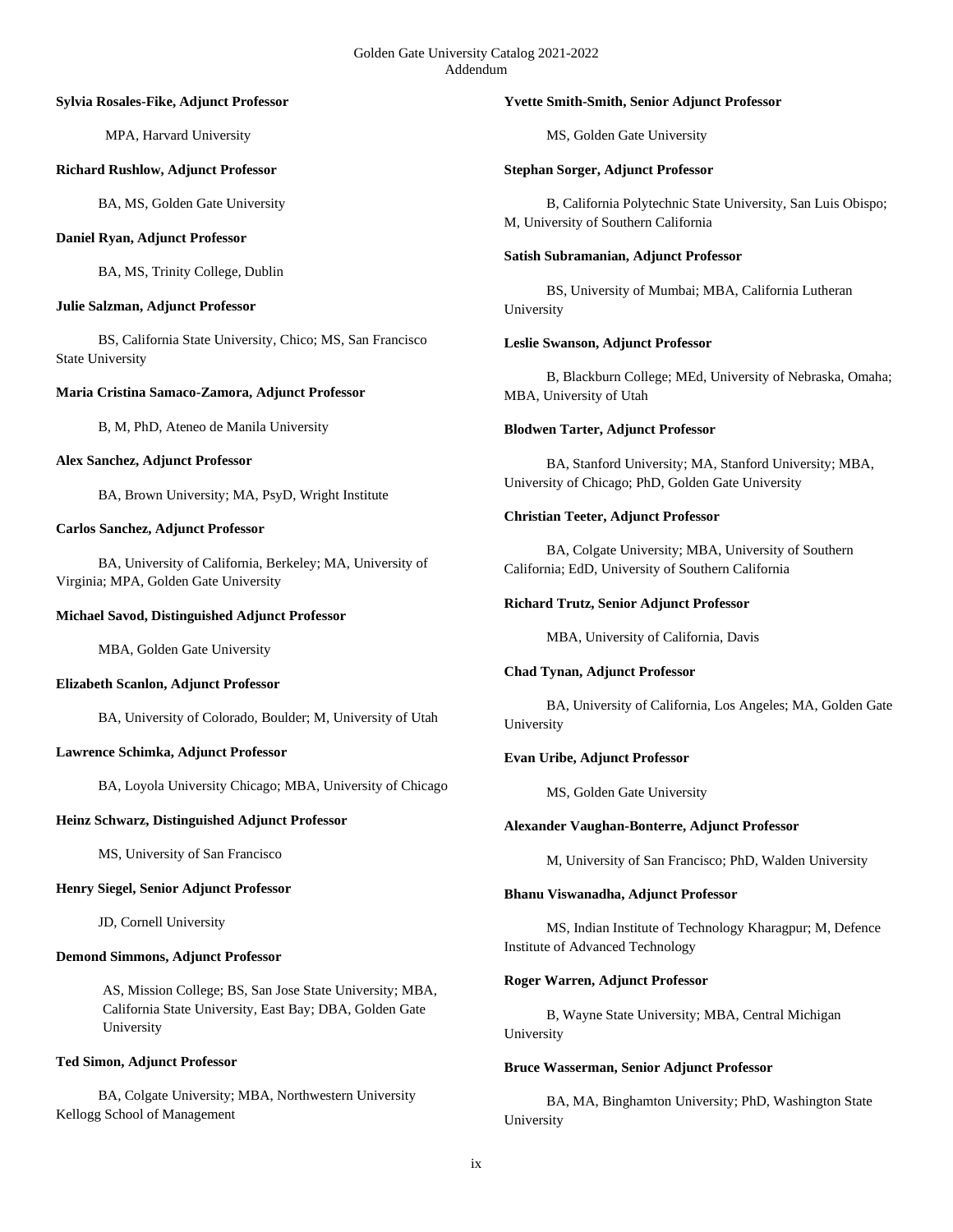#### **Sylvia Rosales-Fike, Adjunct Professor**

MPA, Harvard University

#### **Richard Rushlow, Adjunct Professor**

BA, MS, Golden Gate University

## **Daniel Ryan, Adjunct Professor**

BA, MS, Trinity College, Dublin

# **Julie Salzman, Adjunct Professor**

 BS, California State University, Chico; MS, San Francisco State University

## **Maria Cristina Samaco-Zamora, Adjunct Professor**

B, M, PhD, Ateneo de Manila University

## **Alex Sanchez, Adjunct Professor**

BA, Brown University; MA, PsyD, Wright Institute

## **Carlos Sanchez, Adjunct Professor**

 BA, University of California, Berkeley; MA, University of Virginia; MPA, Golden Gate University

## **Michael Savod, Distinguished Adjunct Professor**

MBA, Golden Gate University

#### **Elizabeth Scanlon, Adjunct Professor**

BA, University of Colorado, Boulder; M, University of Utah

# **Lawrence Schimka, Adjunct Professor**

BA, Loyola University Chicago; MBA, University of Chicago

# **Heinz Schwarz, Distinguished Adjunct Professor**

MS, University of San Francisco

# **Henry Siegel, Senior Adjunct Professor**

JD, Cornell University

#### **Demond Simmons, Adjunct Professor**

AS, Mission College; BS, San Jose State University; MBA, California State University, East Bay; DBA, Golden Gate University

# **Ted Simon, Adjunct Professor**

 BA, Colgate University; MBA, Northwestern University Kellogg School of Management

#### **Yvette Smith-Smith, Senior Adjunct Professor**

MS, Golden Gate University

#### **Stephan Sorger, Adjunct Professor**

 B, California Polytechnic State University, San Luis Obispo; M, University of Southern California

## **Satish Subramanian, Adjunct Professor**

 BS, University of Mumbai; MBA, California Lutheran University

## **Leslie Swanson, Adjunct Professor**

 B, Blackburn College; MEd, University of Nebraska, Omaha; MBA, University of Utah

## **Blodwen Tarter, Adjunct Professor**

 BA, Stanford University; MA, Stanford University; MBA, University of Chicago; PhD, Golden Gate University

## **Christian Teeter, Adjunct Professor**

 BA, Colgate University; MBA, University of Southern California; EdD, University of Southern California

#### **Richard Trutz, Senior Adjunct Professor**

MBA, University of California, Davis

#### **Chad Tynan, Adjunct Professor**

 BA, University of California, Los Angeles; MA, Golden Gate University

# **Evan Uribe, Adjunct Professor**

MS, Golden Gate University

#### **Alexander Vaughan-Bonterre, Adjunct Professor**

M, University of San Francisco; PhD, Walden University

#### **Bhanu Viswanadha, Adjunct Professor**

 MS, Indian Institute of Technology Kharagpur; M, Defence Institute of Advanced Technology

#### **Roger Warren, Adjunct Professor**

 B, Wayne State University; MBA, Central Michigan University

## **Bruce Wasserman, Senior Adjunct Professor**

 BA, MA, Binghamton University; PhD, Washington State University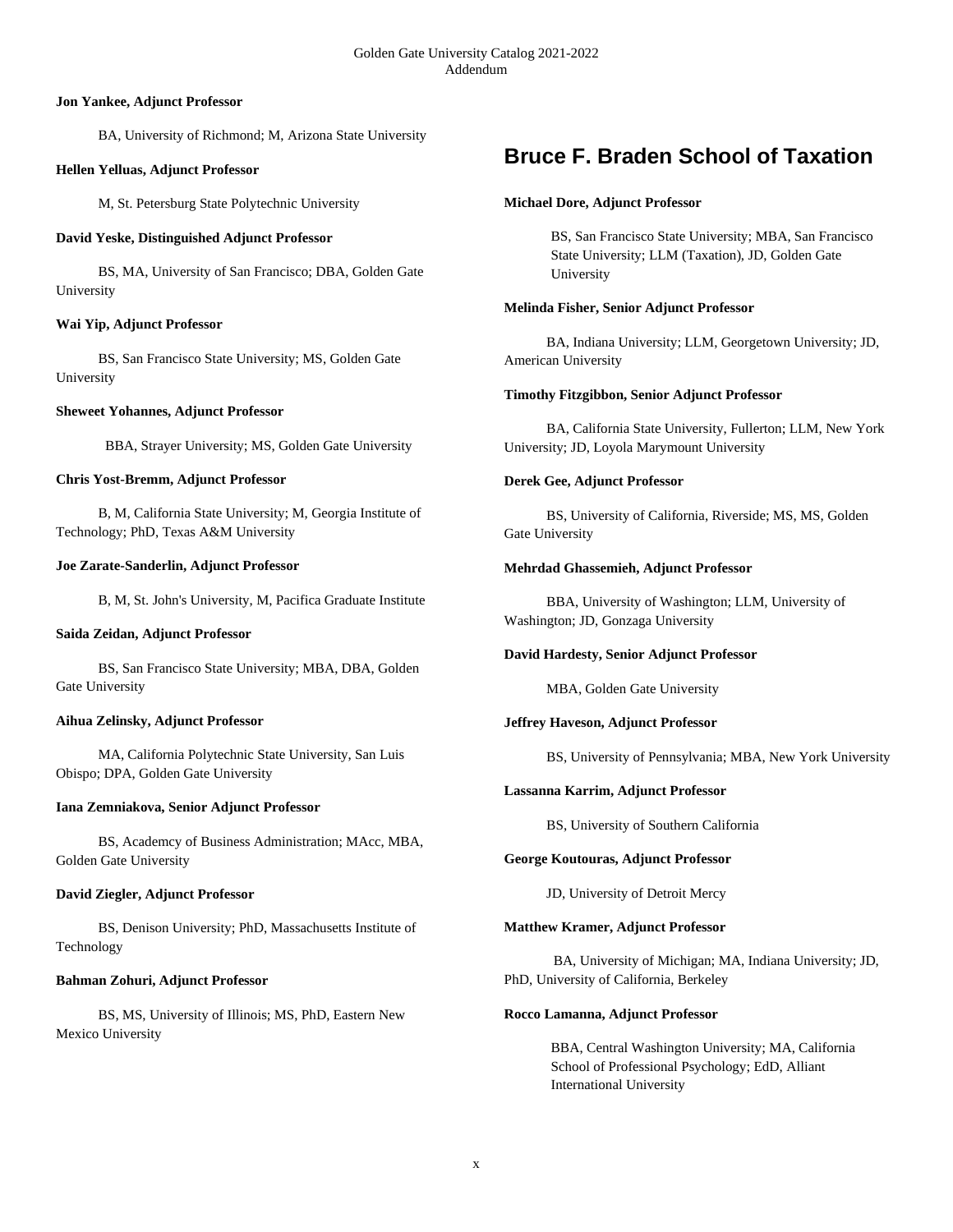## **Jon Yankee, Adjunct Professor**

BA, University of Richmond; M, Arizona State University

## **Hellen Yelluas, Adjunct Professor**

M, St. Petersburg State Polytechnic University

## **David Yeske, Distinguished Adjunct Professor**

 BS, MA, University of San Francisco; DBA, Golden Gate University

# **Wai Yip, Adjunct Professor**

 BS, San Francisco State University; MS, Golden Gate University

## **Sheweet Yohannes, Adjunct Professor**

BBA, Strayer University; MS, Golden Gate University

## **Chris Yost-Bremm, Adjunct Professor**

 B, M, California State University; M, Georgia Institute of Technology; PhD, Texas A&M University

## **Joe Zarate-Sanderlin, Adjunct Professor**

B, M, St. John's University, M, Pacifica Graduate Institute

#### **Saida Zeidan, Adjunct Professor**

 BS, San Francisco State University; MBA, DBA, Golden Gate University

#### **Aihua Zelinsky, Adjunct Professor**

 MA, California Polytechnic State University, San Luis Obispo; DPA, Golden Gate University

#### **Iana Zemniakova, Senior Adjunct Professor**

 BS, Academcy of Business Administration; MAcc, MBA, Golden Gate University

# **David Ziegler, Adjunct Professor**

 BS, Denison University; PhD, Massachusetts Institute of Technology

#### **Bahman Zohuri, Adjunct Professor**

 BS, MS, University of Illinois; MS, PhD, Eastern New Mexico University

# **Bruce F. Braden School of Taxation**

## **Michael Dore, Adjunct Professor**

BS, San Francisco State University; MBA, San Francisco State University; LLM (Taxation), JD, Golden Gate University

## **Melinda Fisher, Senior Adjunct Professor**

 BA, Indiana University; LLM, Georgetown University; JD, American University

## **Timothy Fitzgibbon, Senior Adjunct Professor**

 BA, California State University, Fullerton; LLM, New York University; JD, Loyola Marymount University

## **Derek Gee, Adjunct Professor**

 BS, University of California, Riverside; MS, MS, Golden Gate University

#### **Mehrdad Ghassemieh, Adjunct Professor**

 BBA, University of Washington; LLM, University of Washington; JD, Gonzaga University

#### **David Hardesty, Senior Adjunct Professor**

MBA, Golden Gate University

# **Jeffrey Haveson, Adjunct Professor**

BS, University of Pennsylvania; MBA, New York University

# **Lassanna Karrim, Adjunct Professor**

BS, University of Southern California

# **George Koutouras, Adjunct Professor**

JD, University of Detroit Mercy

#### **Matthew Kramer, Adjunct Professor**

 BA, University of Michigan; MA, Indiana University; JD, PhD, University of California, Berkeley

#### **Rocco Lamanna, Adjunct Professor**

BBA, Central Washington University; MA, California School of Professional Psychology; EdD, Alliant International University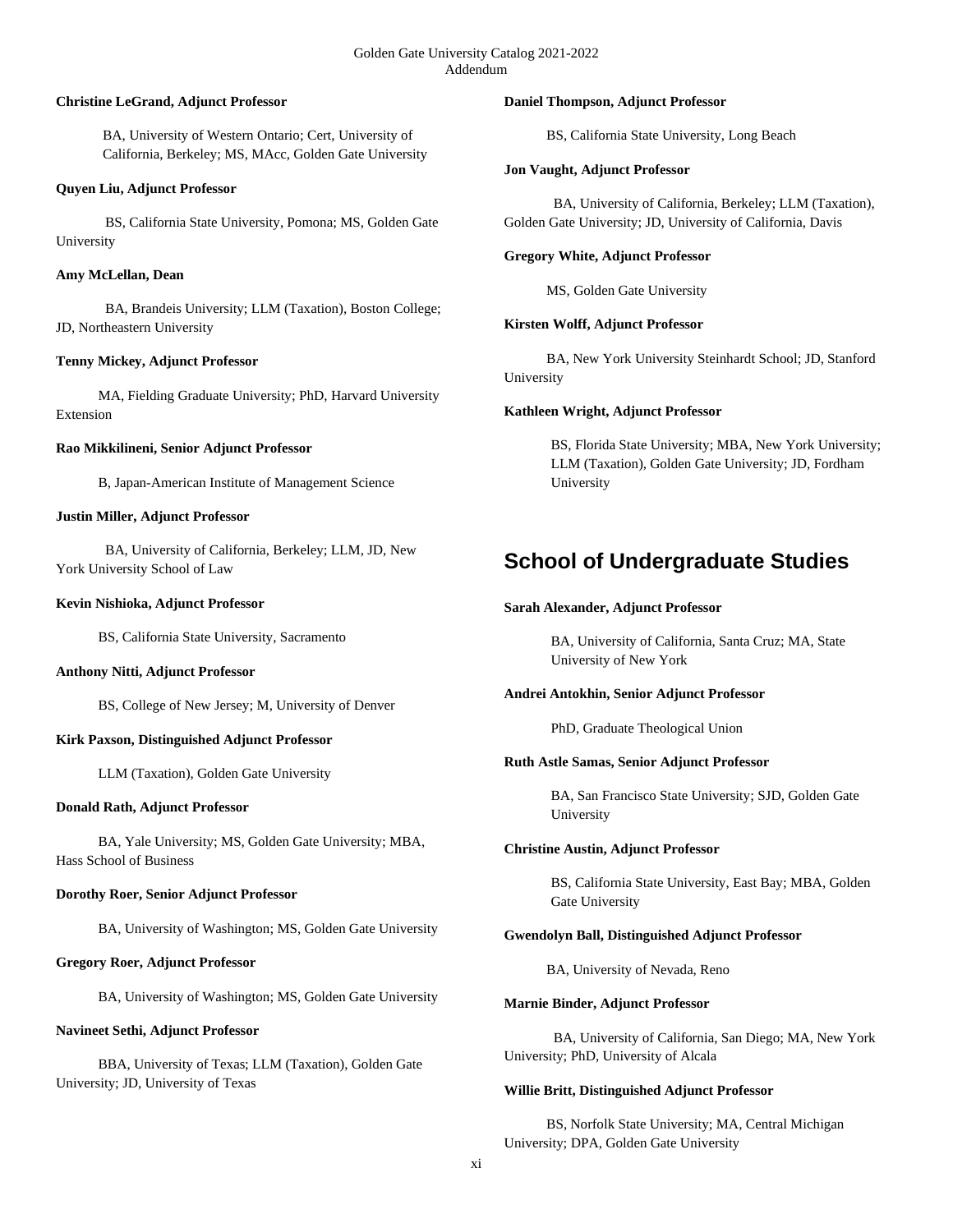#### Golden Gate University Catalog 2021-2022 Addendum

#### **Christine LeGrand, Adjunct Professor**

BA, University of Western Ontario; Cert, University of California, Berkeley; MS, MAcc, Golden Gate University

#### **Quyen Liu, Adjunct Professor**

 BS, California State University, Pomona; MS, Golden Gate University

## **Amy McLellan, Dean**

 BA, Brandeis University; LLM (Taxation), Boston College; JD, Northeastern University

# **Tenny Mickey, Adjunct Professor**

 MA, Fielding Graduate University; PhD, Harvard University Extension

#### **Rao Mikkilineni, Senior Adjunct Professor**

B, Japan-American Institute of Management Science

#### **Justin Miller, Adjunct Professor**

 BA, University of California, Berkeley; LLM, JD, New York University School of Law

#### **Kevin Nishioka, Adjunct Professor**

BS, California State University, Sacramento

## **Anthony Nitti, Adjunct Professor**

BS, College of New Jersey; M, University of Denver

#### **Kirk Paxson, Distinguished Adjunct Professor**

LLM (Taxation), Golden Gate University

#### **Donald Rath, Adjunct Professor**

 BA, Yale University; MS, Golden Gate University; MBA, Hass School of Business

#### **Dorothy Roer, Senior Adjunct Professor**

BA, University of Washington; MS, Golden Gate University

#### **Gregory Roer, Adjunct Professor**

BA, University of Washington; MS, Golden Gate University

#### **Navineet Sethi, Adjunct Professor**

 BBA, University of Texas; LLM (Taxation), Golden Gate University; JD, University of Texas

#### **Daniel Thompson, Adjunct Professor**

BS, California State University, Long Beach

#### **Jon Vaught, Adjunct Professor**

 BA, University of California, Berkeley; LLM (Taxation), Golden Gate University; JD, University of California, Davis

#### **Gregory White, Adjunct Professor**

MS, Golden Gate University

# **Kirsten Wolff, Adjunct Professor**

 BA, New York University Steinhardt School; JD, Stanford University

## **Kathleen Wright, Adjunct Professor**

BS, Florida State University; MBA, New York University; LLM (Taxation), Golden Gate University; JD, Fordham University

# **School of Undergraduate Studies**

#### **Sarah Alexander, Adjunct Professor**

BA, University of California, Santa Cruz; MA, State University of New York

#### **Andrei Antokhin, Senior Adjunct Professor**

PhD, Graduate Theological Union

#### **Ruth Astle Samas, Senior Adjunct Professor**

BA, San Francisco State University; SJD, Golden Gate University

#### **Christine Austin, Adjunct Professor**

BS, California State University, East Bay; MBA, Golden Gate University

#### **Gwendolyn Ball, Distinguished Adjunct Professor**

BA, University of Nevada, Reno

#### **Marnie Binder, Adjunct Professor**

 BA, University of California, San Diego; MA, New York University; PhD, University of Alcala

#### **Willie Britt, Distinguished Adjunct Professor**

 BS, Norfolk State University; MA, Central Michigan University; DPA, Golden Gate University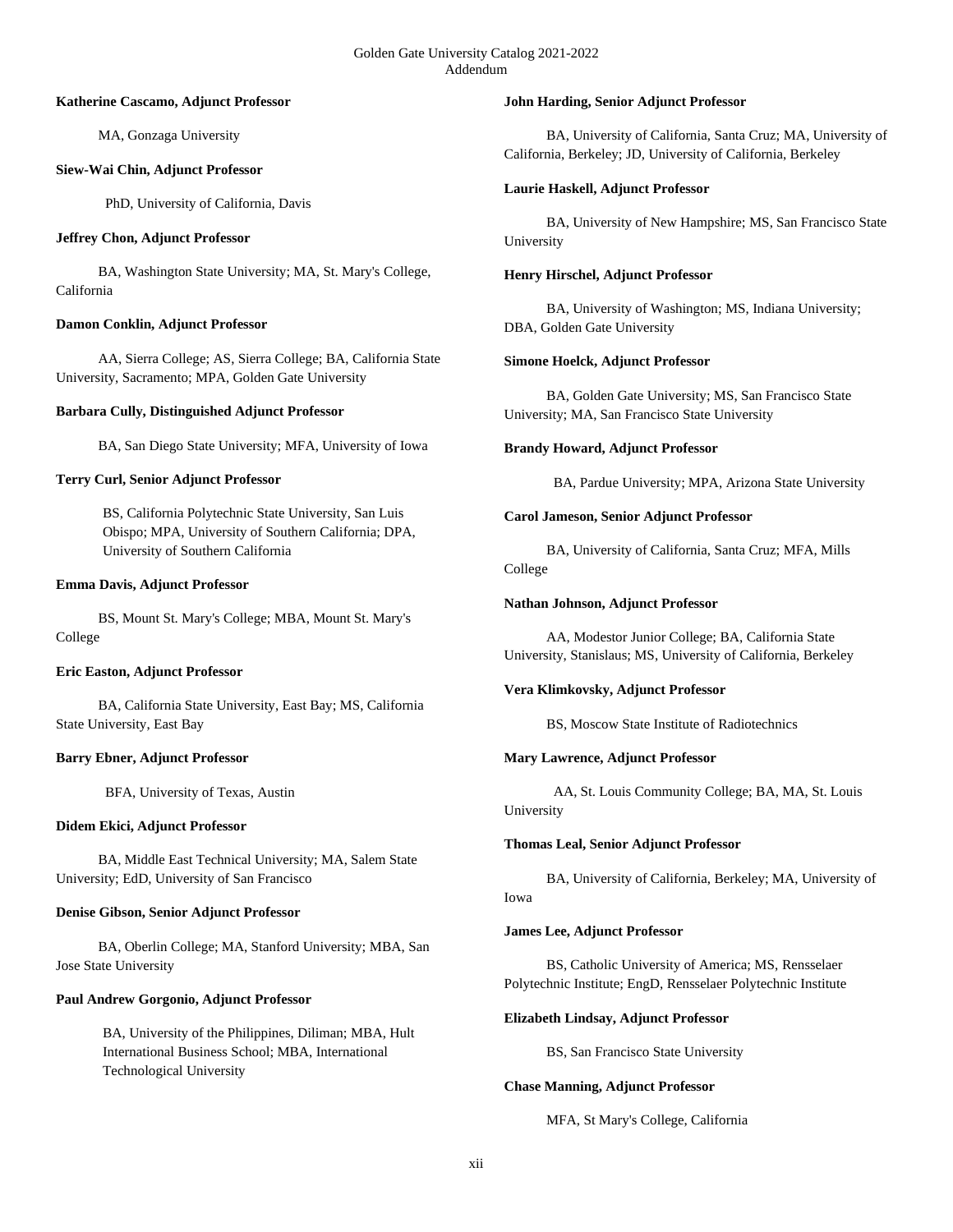#### **Katherine Cascamo, Adjunct Professor**

MA, Gonzaga University

## **Siew-Wai Chin, Adjunct Professor**

PhD, University of California, Davis

## **Jeffrey Chon, Adjunct Professor**

 BA, Washington State University; MA, St. Mary's College, California

# **Damon Conklin, Adjunct Professor**

 AA, Sierra College; AS, Sierra College; BA, California State University, Sacramento; MPA, Golden Gate University

# **Barbara Cully, Distinguished Adjunct Professor**

BA, San Diego State University; MFA, University of Iowa

# **Terry Curl, Senior Adjunct Professor**

BS, California Polytechnic State University, San Luis Obispo; MPA, University of Southern California; DPA, University of Southern California

# **Emma Davis, Adjunct Professor**

 BS, Mount St. Mary's College; MBA, Mount St. Mary's College

# **Eric Easton, Adjunct Professor**

 BA, California State University, East Bay; MS, California State University, East Bay

# **Barry Ebner, Adjunct Professor**

BFA, University of Texas, Austin

# **Didem Ekici, Adjunct Professor**

 BA, Middle East Technical University; MA, Salem State University; EdD, University of San Francisco

# **Denise Gibson, Senior Adjunct Professor**

 BA, Oberlin College; MA, Stanford University; MBA, San Jose State University

# **Paul Andrew Gorgonio, Adjunct Professor**

BA, University of the Philippines, Diliman; MBA, Hult International Business School; MBA, International Technological University

#### **John Harding, Senior Adjunct Professor**

 BA, University of California, Santa Cruz; MA, University of California, Berkeley; JD, University of California, Berkeley

## **Laurie Haskell, Adjunct Professor**

 BA, University of New Hampshire; MS, San Francisco State University

# **Henry Hirschel, Adjunct Professor**

 BA, University of Washington; MS, Indiana University; DBA, Golden Gate University

## **Simone Hoelck, Adjunct Professor**

 BA, Golden Gate University; MS, San Francisco State University; MA, San Francisco State University

## **Brandy Howard, Adjunct Professor**

BA, Pardue University; MPA, Arizona State University

## **Carol Jameson, Senior Adjunct Professor**

 BA, University of California, Santa Cruz; MFA, Mills College

## **Nathan Johnson, Adjunct Professor**

 AA, Modestor Junior College; BA, California State University, Stanislaus; MS, University of California, Berkeley

# **Vera Klimkovsky, Adjunct Professor**

BS, Moscow State Institute of Radiotechnics

# **Mary Lawrence, Adjunct Professor**

 AA, St. Louis Community College; BA, MA, St. Louis University

# **Thomas Leal, Senior Adjunct Professor**

 BA, University of California, Berkeley; MA, University of Iowa

#### **James Lee, Adjunct Professor**

 BS, Catholic University of America; MS, Rensselaer Polytechnic Institute; EngD, Rensselaer Polytechnic Institute

#### **Elizabeth Lindsay, Adjunct Professor**

BS, San Francisco State University

# **Chase Manning, Adjunct Professor**

MFA, St Mary's College, California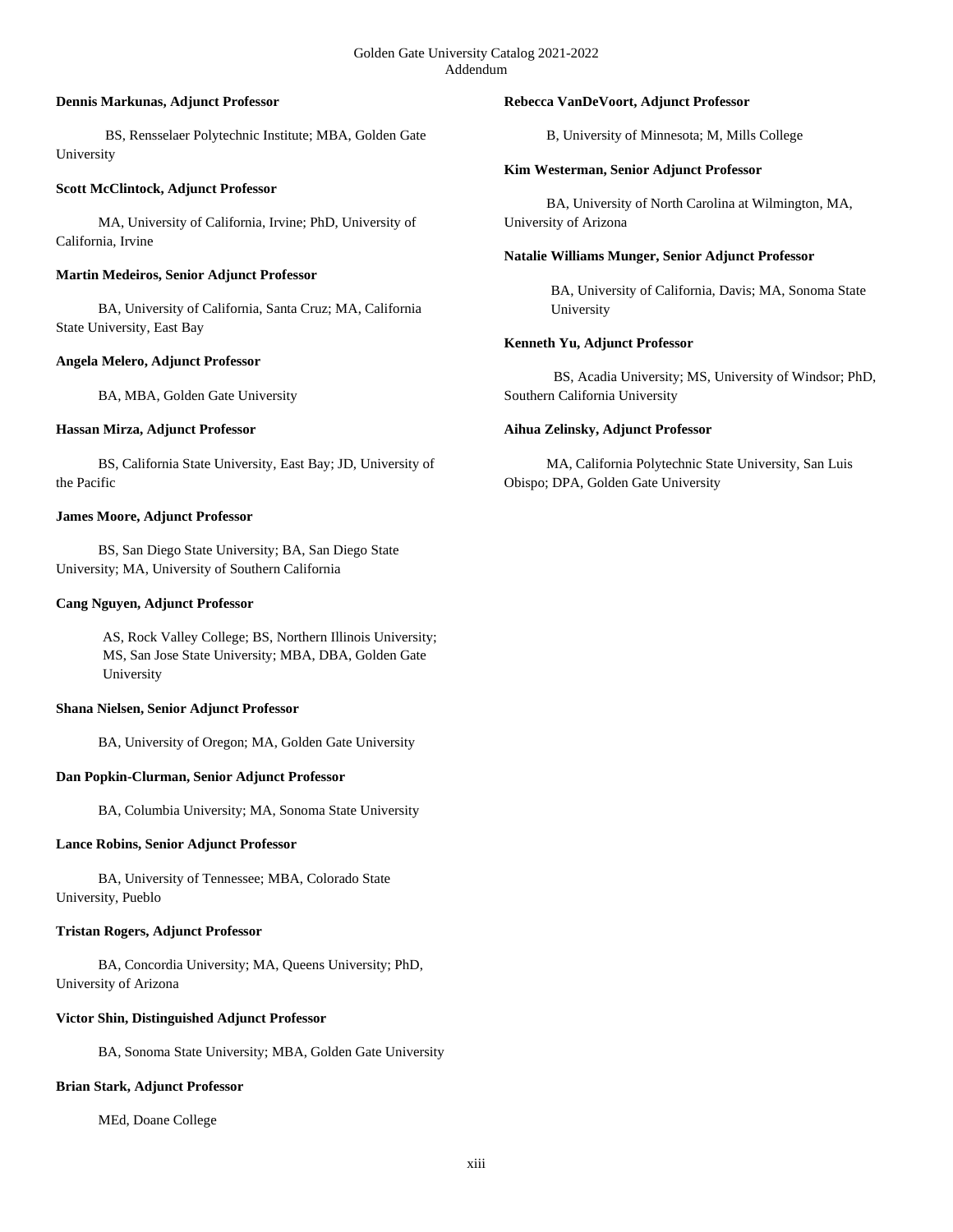#### **Dennis Markunas, Adjunct Professor**

 BS, Rensselaer Polytechnic Institute; MBA, Golden Gate University

## **Scott McClintock, Adjunct Professor**

 MA, University of California, Irvine; PhD, University of California, Irvine

## **Martin Medeiros, Senior Adjunct Professor**

 BA, University of California, Santa Cruz; MA, California State University, East Bay

## **Angela Melero, Adjunct Professor**

BA, MBA, Golden Gate University

## **Hassan Mirza, Adjunct Professor**

 BS, California State University, East Bay; JD, University of the Pacific

## **James Moore, Adjunct Professor**

 BS, San Diego State University; BA, San Diego State University; MA, University of Southern California

## **Cang Nguyen, Adjunct Professor**

AS, Rock Valley College; BS, Northern Illinois University; MS, San Jose State University; MBA, DBA, Golden Gate University

## **Shana Nielsen, Senior Adjunct Professor**

BA, University of Oregon; MA, Golden Gate University

# **Dan Popkin-Clurman, Senior Adjunct Professor**

BA, Columbia University; MA, Sonoma State University

# **Lance Robins, Senior Adjunct Professor**

 BA, University of Tennessee; MBA, Colorado State University, Pueblo

# **Tristan Rogers, Adjunct Professor**

 BA, Concordia University; MA, Queens University; PhD, University of Arizona

# **Victor Shin, Distinguished Adjunct Professor**

BA, Sonoma State University; MBA, Golden Gate University

#### **Brian Stark, Adjunct Professor**

MEd, Doane College

## **Rebecca VanDeVoort, Adjunct Professor**

B, University of Minnesota; M, Mills College

## **Kim Westerman, Senior Adjunct Professor**

 BA, University of North Carolina at Wilmington, MA, University of Arizona

## **Natalie Williams Munger, Senior Adjunct Professor**

BA, University of California, Davis; MA, Sonoma State University

# **Kenneth Yu, Adjunct Professor**

 BS, Acadia University; MS, University of Windsor; PhD, Southern California University

## **Aihua Zelinsky, Adjunct Professor**

 MA, California Polytechnic State University, San Luis Obispo; DPA, Golden Gate University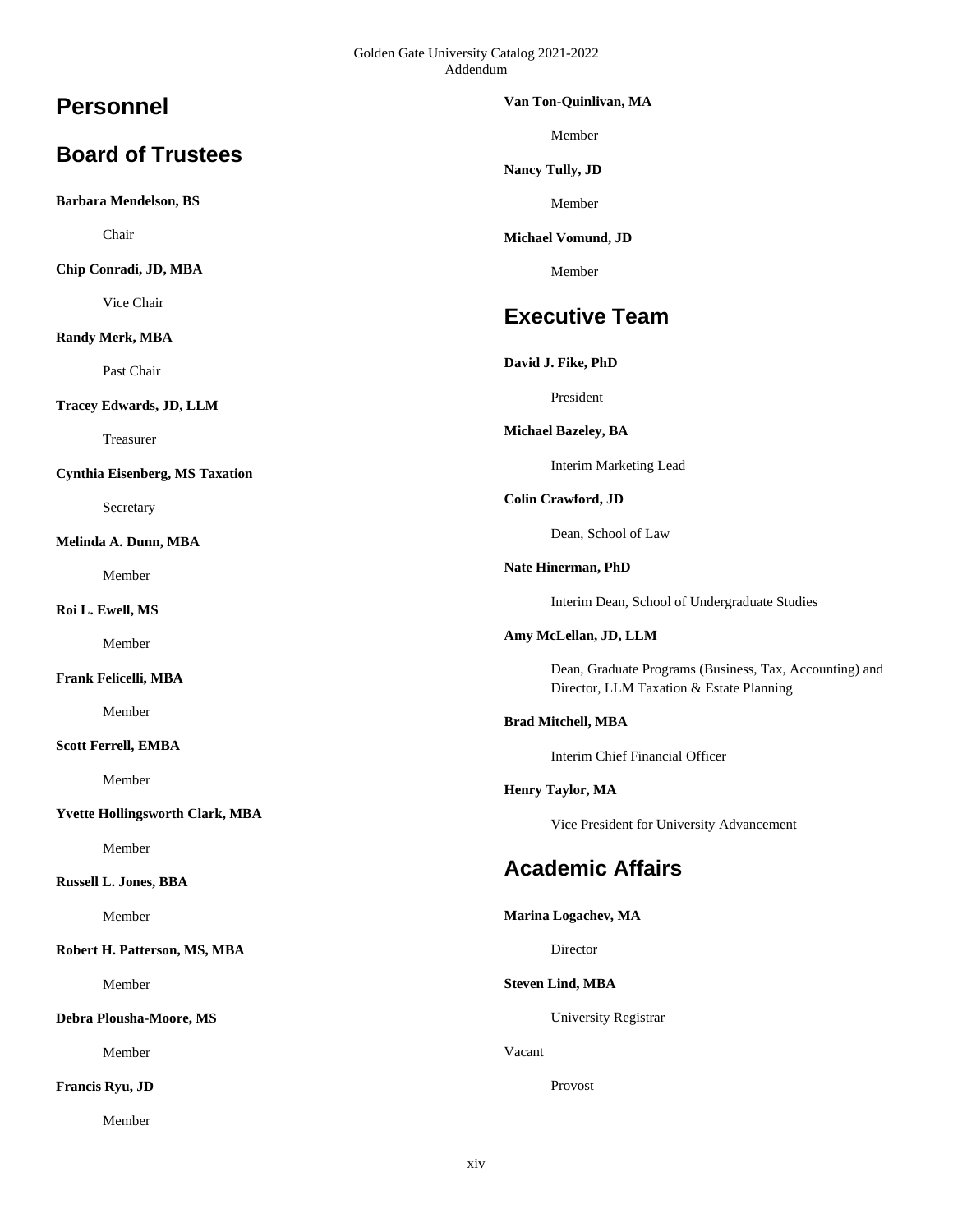# **Personnel**

# **Board of Trustees**

**Barbara Mendelson, BS**

Chair

**Chip Conradi, JD, MBA**

Vice Chair

# **Randy Merk, MBA**

Past Chair

**Tracey Edwards, JD, LLM**

Treasurer

**Cynthia Eisenberg, MS Taxation**

Secretary

**Melinda A. Dunn, MBA**

Member

**Roi L. Ewell, MS**

Member

## **Frank Felicelli, MBA**

Member

**Scott Ferrell, EMBA**

Member

**Yvette Hollingsworth Clark, MBA**

Member

# **Russell L. Jones, BBA**

Member

**Robert H. Patterson, MS, MBA**

Member

**Debra Plousha-Moore, MS**

Member

**Francis Ryu, JD**

Member

#### **Van Ton-Quinlivan, MA**

Member

**Nancy Tully, JD**

Member

**Michael Vomund, JD**

Member

# **Executive Team**

## **David J. Fike, PhD**

President

**Michael Bazeley, BA**

Interim Marketing Lead

# **Colin Crawford, JD**

Dean, School of Law

**Nate Hinerman, PhD**

Interim Dean, School of Undergraduate Studies

**Amy McLellan, JD, LLM**

Dean, Graduate Programs (Business, Tax, Accounting) and Director, LLM Taxation & Estate Planning

## **Brad Mitchell, MBA**

Interim Chief Financial Officer

#### **Henry Taylor, MA**

Vice President for University Advancement

# **Academic Affairs**

# **Marina Logachev, MA**

Director

# **Steven Lind, MBA**

University Registrar

Vacant

Provost